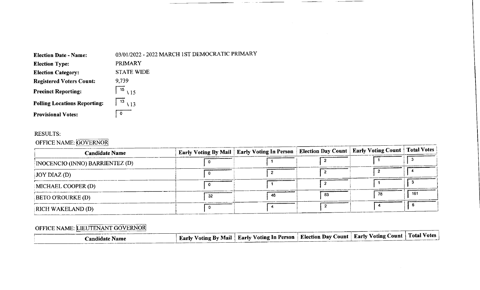| <b>Election Date - Name:</b>        | 03/01/2022 - 2022 MARCH 1ST DEMOCRATIC PRIMARY |
|-------------------------------------|------------------------------------------------|
| <b>Election Type:</b>               | <b>PRIMARY</b>                                 |
| <b>Election Category:</b>           | <b>STATE WIDE</b>                              |
| <b>Registered Voters Count:</b>     | 9,739                                          |
| <b>Precinct Reporting:</b>          | $\overline{15}$ \ 15                           |
| <b>Polling Locations Reporting:</b> | $13 \overline{)13}$                            |
| <b>Provisional Votes:</b>           | $\Omega$                                       |

#### RESULTS:

## OFFICE NAME: GOVERNOR

| <b>Candidate Name</b>           |    | Early Voting By Mail   Early Voting In Person   Election Day Count   Early Voting Count   Total Votes |    |     |
|---------------------------------|----|-------------------------------------------------------------------------------------------------------|----|-----|
| INOCENCIO (INNO) BARRIENTEZ (D) |    |                                                                                                       |    |     |
| $\vert$ JOY DIAZ (D)            |    |                                                                                                       |    |     |
| MICHAEL COOPER(D)               |    |                                                                                                       |    |     |
| <b>BETO O'ROURKE (D)</b>        | 32 | 46                                                                                                    | 83 | 161 |
| RICH WAKELAND (D)               |    |                                                                                                       |    |     |

# OFFICE NAME: LIEUTENANT GOVERNOR

| <b>Early Voting By Mail   Early Voting In Person   Election Day Count   Early Voting Count   Total Votes  </b><br>andidato |  |  |  |
|----------------------------------------------------------------------------------------------------------------------------|--|--|--|
|                                                                                                                            |  |  |  |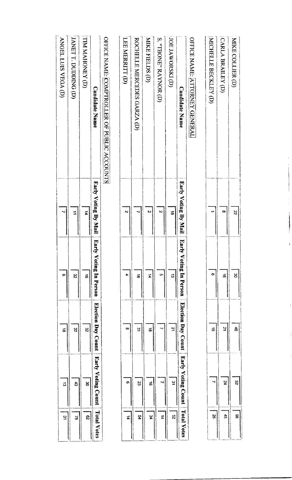| MIKE COLLIER (D)                            | Ŗ                    | မွ                          | ਨੈ                         | $\boldsymbol{\mathcal{S}}$ | æ                  |
|---------------------------------------------|----------------------|-----------------------------|----------------------------|----------------------------|--------------------|
| CARLA BRAILEY (D)                           | $\infty$             | ಹ                           | 2                          | 74                         | Ĝ                  |
| MICHELLE BECKLEY (D)                        |                      | O)                          | $\vec{5}$                  | ↘                          | S)                 |
| OFFICE NAME: ATTORNEY GENERAL               |                      |                             |                            |                            |                    |
| <b>Candidate Name</b>                       | Early Voting By Mail | Earl<br>ly Voting In Person | Election Day Count         | Early Voting Count         | <b>Total Votes</b> |
| (IOE JAWORSKI (D)                           | $\vec{a}$            | ದ                           | 21                         | ین                         | $\mathbf{g}$       |
| S. "TBONE" RAYNOR (D)                       | $\mathbf{\tilde{z}}$ | <b>Cn</b>                   | ↘                          |                            | 4                  |
| MIKE FIELDS (D)                             | N                    | 4                           | ಹ                          | ಹೆ                         | \$                 |
| ROCHELLE MERCEDES GARZA (D)                 |                      | ಹೆ                          | ین                         | S                          | ሄ                  |
| LEE MERRITT (D)                             | $\ddot{\sim}$        | 4                           | œ                          | o,                         | $\sharp$           |
| OFFICE NAME: COMPTROLLER OF PUBLIC ACCOUNTS |                      |                             |                            |                            |                    |
| <b>Candidate Name</b>                       | Early Voting By Mail | Earl<br>ly Voting In Person | Election Day Count         | <b>Early Voting Count</b>  | <b>Total Votes</b> |
| TIM MAHONEY (D)                             | $\vec{a}$            | $\vec{\sigma}$              | $\boldsymbol{\mathcal{S}}$ | క                          | ౘ                  |
| JANET T. DUDDING (D)                        | ⇉                    | $\approx$                   | $\boldsymbol{\mathcal{S}}$ | සි                         | S.                 |
| ANGEL LUIS VEGA (D)                         |                      | O)                          | $\vec{a}$                  | $\vec{\omega}$             | يو                 |

Î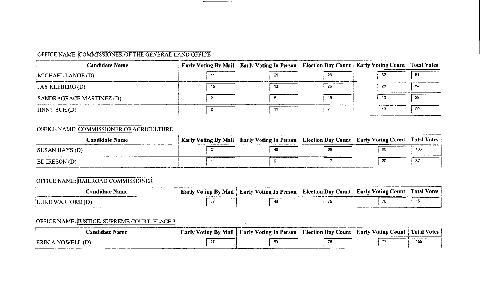## OFFICE NAME: COMMISSIONER OF THE GENERAL LAND OFFICE

| <b>Candidate Name</b>        | Early Voting By Mail   Early Voting In Person   Election Day Count   Early Voting Count   Total Votes |     |    |
|------------------------------|-------------------------------------------------------------------------------------------------------|-----|----|
| MICHAEL LANGE (D)            |                                                                                                       |     | 61 |
| JAY KLEBERG (D)              |                                                                                                       | -28 |    |
| SANDRAGRACE MARTINEZ (D)     |                                                                                                       |     |    |
| $\downarrow$ JINNY SUH $(D)$ |                                                                                                       |     |    |

 $\overline{\phantom{a}}$ 

 $\sim$  100  $-$  100  $-$ 

 $\mathcal{L}_{\mathcal{A}}(x) = \frac{1}{2} \left( \frac{1}{2} \sum_{i=1}^n \frac{1}{2} \sum_{j=1}^n \frac{1}{2} \sum_{j=1}^n \frac{1}{2} \sum_{j=1}^n \frac{1}{2} \sum_{j=1}^n \frac{1}{2} \sum_{j=1}^n \frac{1}{2} \sum_{j=1}^n \frac{1}{2} \sum_{j=1}^n \frac{1}{2} \sum_{j=1}^n \frac{1}{2} \sum_{j=1}^n \frac{1}{2} \sum_{j=1}^n \frac{1}{2} \sum_{j=1}^n \frac$ 

# OFFICE NAME: COMMISSIONER OF AGRICULTURE

| Candidate Name | Early Voting By Mail   Early Voting In Person   Election Day Count   Early Voting Count   Total Votes |    |     |
|----------------|-------------------------------------------------------------------------------------------------------|----|-----|
| SUSAN HAYS (D) | 43                                                                                                    | 69 | 135 |
| ED IRESON (D)  |                                                                                                       |    | າ   |

## OFFICE NAME: RAILROAD COMMISSIONER

| Landidate Name  | <b>Early Voting By Mail</b> | Early Voting In Person | Election Day Count   Early ' | / Voting Count | <b>Total Votes</b> |
|-----------------|-----------------------------|------------------------|------------------------------|----------------|--------------------|
| LUKE WARFORD (T |                             |                        |                              | 76             | 15 <sup>°</sup>    |

## OFFICE NAME: USTICE, SUPREME COURT, PLACE 3

| andidate Name | <u>' Voting By Mail  </u><br><b>Larly</b> | Early Voting In Person | Election Day Count   Early Voting Count   Total Votes |          |
|---------------|-------------------------------------------|------------------------|-------------------------------------------------------|----------|
| <b>ERIN A</b> |                                           | 50                     | $\sim$<br>75                                          | 155<br>. |